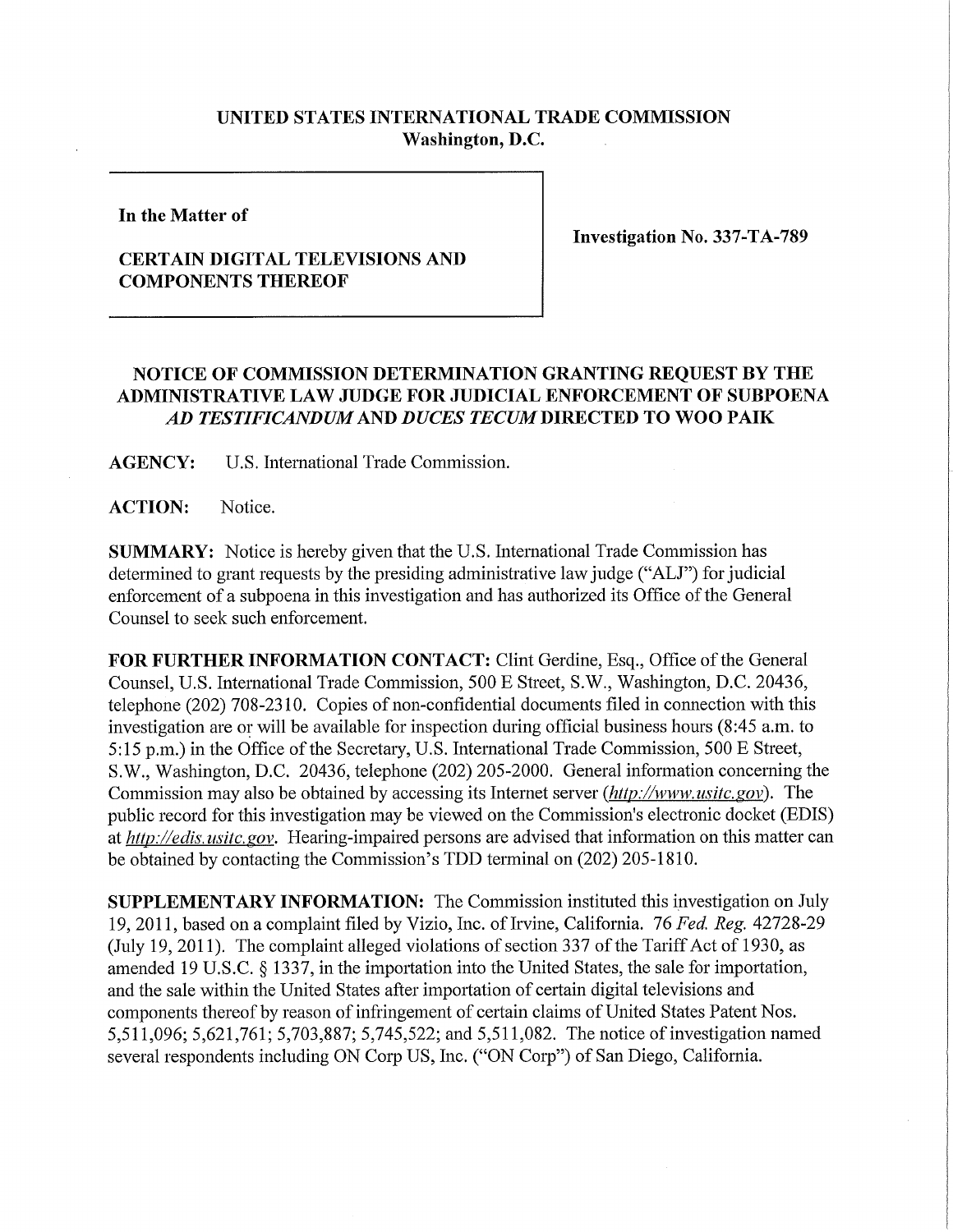## **UNITED STATES INTERNATIONAL TRADE COMMISSION Washington, D.C.**

**In the Matter of** 

## **CERTAIN DIGITAL TELEVISIONS AND COMPONENTS THEREOF**

**Investigation No. 337-TA-789** 

## **NOTICE OF COMMISSION DETERMINATION GRANTING REQUEST BY THE ADMINISTRATIVE LAW JUDGE FOR JUDICIAL ENFORCEMENT OF SUBPOENA**  *AD TESTIFICANDUM AND DUCES TECUM* **DIRECTED TO WOO PAIK**

**AGENCY:** U.S. International Trade Commission.

**ACTION:** Notice.

**SUMMARY:** Notice is hereby given that the U.S. International Trade Commission has determined to grant requests by the presiding administrative law judge ("ALJ") for judicial enforcement of a subpoena in this investigation and has authorized its Office of the General Counsel to seek such enforcement.

FOR FURTHER INFORMATION CONTACT: Clint Gerdine, Esq., Office of the General Counsel, U.S. International Trade Commission, 500 E Street, S.W., Washington, D.C. 20436, telephone (202) 708-2310. Copies of non-confidential documents filed in connection with this investigation are or will be available for inspection during official business hours (8:45 a.m. to 5:15 p.m.) in the Office of the Secretary, U.S. International Trade Commission, 500 E Street, S.W., Washington, D.C. 20436, telephone (202) 205-2000. General information concerning the Commission may also be obtained by accessing its Internet server *(http://www. usitc. gov).* The public record for this investigation may be viewed on the Commission's electronic docket (EDIS) at *http://edis. usitc. gov.* Hearing-impaired persons are advised that information on this matter can be obtained by contacting the Commission's TDD terminal on (202) 205-1810.

**SUPPLEMENTARY INFORMATION:** The Commission instituted this investigation on July 19, 2011, based on a complaint filed by Vizio, Inc. of Irvine, California. 76 *Fed. Reg.* 42728-29 (July 19, 2011). The complaint alleged violations of section 337 of the Tariff Act of 1930, as amended 19 U.S.C. § 1337, in the importation into the United States, the sale for importation, and the sale within the United States after importation of certain digital televisions and components thereof by reason of infringement of certain claims of United States Patent Nos. 5,511,096; 5,621,761; 5,703,887; 5,745,522; and 5,511,082. The notice of investigation named several respondents including ON Corp US, Inc. ("ON Corp") of San Diego, California.